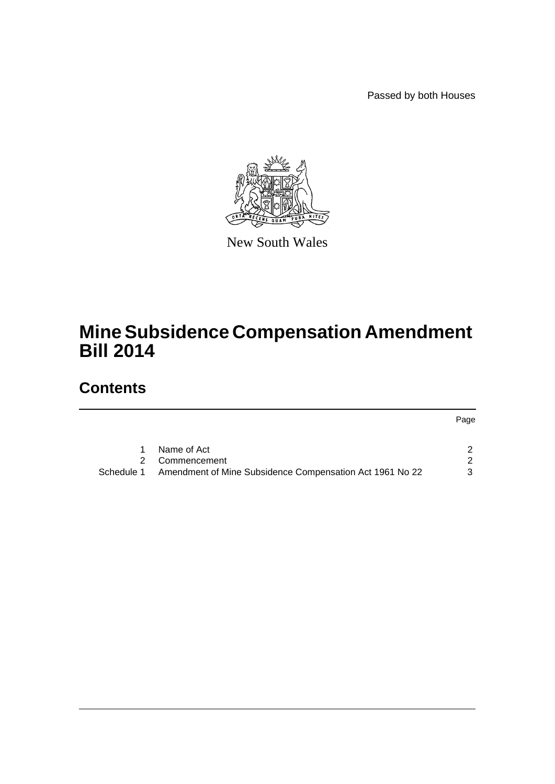Passed by both Houses



New South Wales

# **Mine Subsidence Compensation Amendment Bill 2014**

# **Contents**

Page

|            | Name of Act                                              |  |
|------------|----------------------------------------------------------|--|
|            | 2 Commencement                                           |  |
| Schedule 1 | Amendment of Mine Subsidence Compensation Act 1961 No 22 |  |
|            |                                                          |  |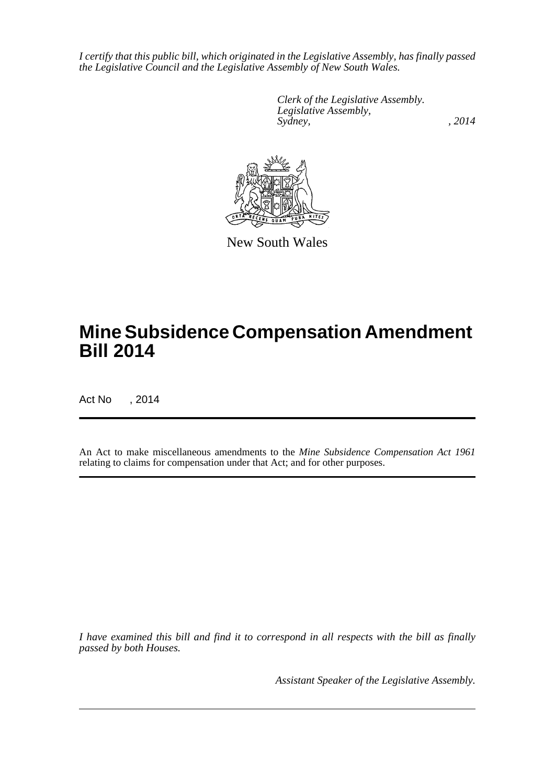*I certify that this public bill, which originated in the Legislative Assembly, has finally passed the Legislative Council and the Legislative Assembly of New South Wales.*

> *Clerk of the Legislative Assembly. Legislative Assembly, Sydney,* , 2014



New South Wales

# **Mine Subsidence Compensation Amendment Bill 2014**

Act No , 2014

An Act to make miscellaneous amendments to the *Mine Subsidence Compensation Act 1961* relating to claims for compensation under that Act; and for other purposes.

*I have examined this bill and find it to correspond in all respects with the bill as finally passed by both Houses.*

*Assistant Speaker of the Legislative Assembly.*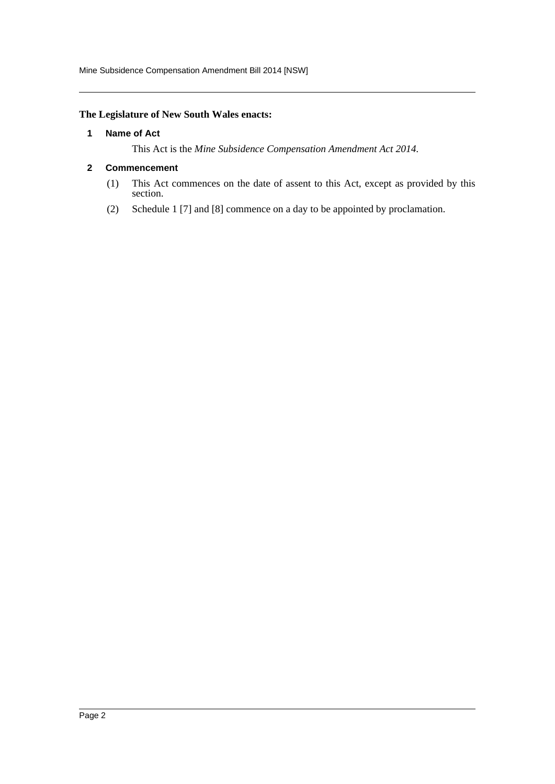Mine Subsidence Compensation Amendment Bill 2014 [NSW]

#### <span id="page-2-0"></span>**The Legislature of New South Wales enacts:**

#### **1 Name of Act**

This Act is the *Mine Subsidence Compensation Amendment Act 2014*.

## <span id="page-2-1"></span>**2 Commencement**

- (1) This Act commences on the date of assent to this Act, except as provided by this section.
- (2) Schedule 1 [7] and [8] commence on a day to be appointed by proclamation.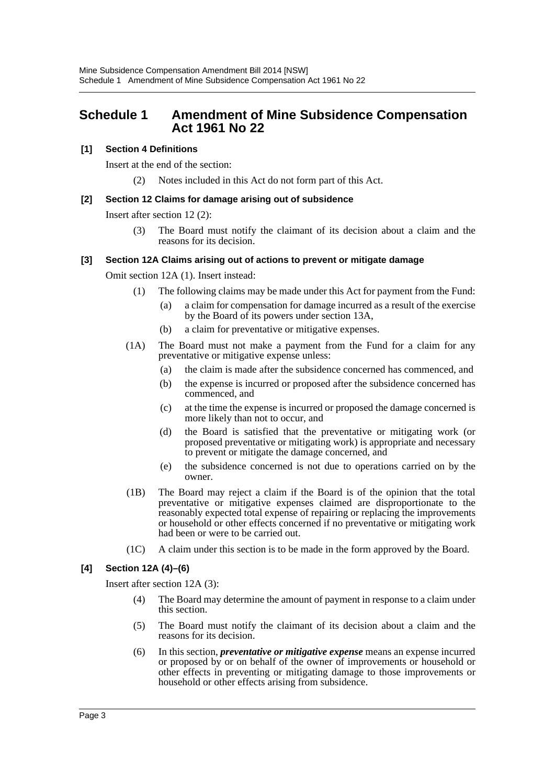# <span id="page-3-0"></span>**Schedule 1 Amendment of Mine Subsidence Compensation Act 1961 No 22**

# **[1] Section 4 Definitions**

Insert at the end of the section:

(2) Notes included in this Act do not form part of this Act.

## **[2] Section 12 Claims for damage arising out of subsidence**

Insert after section 12 (2):

(3) The Board must notify the claimant of its decision about a claim and the reasons for its decision.

#### **[3] Section 12A Claims arising out of actions to prevent or mitigate damage**

Omit section 12A (1). Insert instead:

- (1) The following claims may be made under this Act for payment from the Fund:
	- (a) a claim for compensation for damage incurred as a result of the exercise by the Board of its powers under section 13A,
	- (b) a claim for preventative or mitigative expenses.
- (1A) The Board must not make a payment from the Fund for a claim for any preventative or mitigative expense unless:
	- (a) the claim is made after the subsidence concerned has commenced, and
	- (b) the expense is incurred or proposed after the subsidence concerned has commenced, and
	- (c) at the time the expense is incurred or proposed the damage concerned is more likely than not to occur, and
	- (d) the Board is satisfied that the preventative or mitigating work (or proposed preventative or mitigating work) is appropriate and necessary to prevent or mitigate the damage concerned, and
	- (e) the subsidence concerned is not due to operations carried on by the owner.
- (1B) The Board may reject a claim if the Board is of the opinion that the total preventative or mitigative expenses claimed are disproportionate to the reasonably expected total expense of repairing or replacing the improvements or household or other effects concerned if no preventative or mitigating work had been or were to be carried out.
- (1C) A claim under this section is to be made in the form approved by the Board.

# **[4] Section 12A (4)–(6)**

Insert after section 12A (3):

- (4) The Board may determine the amount of payment in response to a claim under this section.
- (5) The Board must notify the claimant of its decision about a claim and the reasons for its decision.
- (6) In this section, *preventative or mitigative expense* means an expense incurred or proposed by or on behalf of the owner of improvements or household or other effects in preventing or mitigating damage to those improvements or household or other effects arising from subsidence.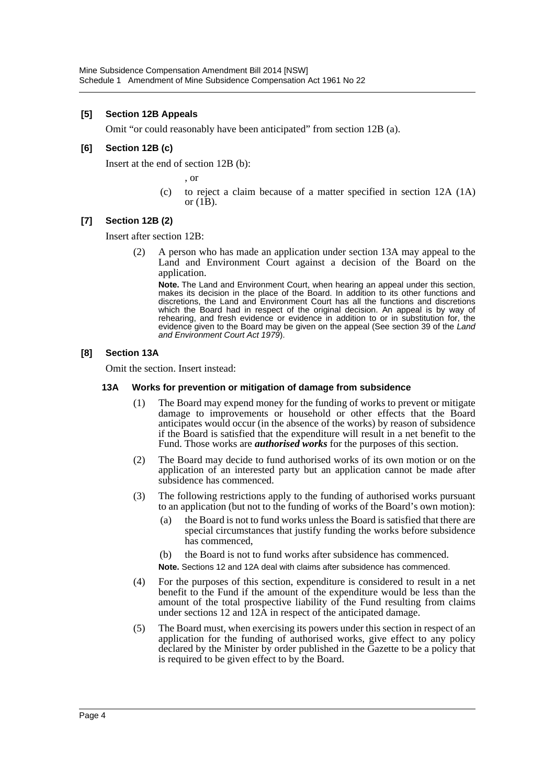#### **[5] Section 12B Appeals**

Omit "or could reasonably have been anticipated" from section 12B (a).

#### **[6] Section 12B (c)**

Insert at the end of section 12B (b):

, or

(c) to reject a claim because of a matter specified in section 12A (1A) or (1B).

#### **[7] Section 12B (2)**

Insert after section 12B:

(2) A person who has made an application under section 13A may appeal to the Land and Environment Court against a decision of the Board on the application.

**Note.** The Land and Environment Court, when hearing an appeal under this section, makes its decision in the place of the Board. In addition to its other functions and discretions, the Land and Environment Court has all the functions and discretions which the Board had in respect of the original decision. An appeal is by way of rehearing, and fresh evidence or evidence in addition to or in substitution for, the evidence given to the Board may be given on the appeal (See section 39 of the *Land and Environment Court Act 1979*).

#### **[8] Section 13A**

Omit the section. Insert instead:

#### **13A Works for prevention or mitigation of damage from subsidence**

- (1) The Board may expend money for the funding of works to prevent or mitigate damage to improvements or household or other effects that the Board anticipates would occur (in the absence of the works) by reason of subsidence if the Board is satisfied that the expenditure will result in a net benefit to the Fund. Those works are *authorised works* for the purposes of this section.
- (2) The Board may decide to fund authorised works of its own motion or on the application of an interested party but an application cannot be made after subsidence has commenced.
- (3) The following restrictions apply to the funding of authorised works pursuant to an application (but not to the funding of works of the Board's own motion):
	- (a) the Board is not to fund works unless the Board is satisfied that there are special circumstances that justify funding the works before subsidence has commenced,
	- (b) the Board is not to fund works after subsidence has commenced.
	- **Note.** Sections 12 and 12A deal with claims after subsidence has commenced.
- (4) For the purposes of this section, expenditure is considered to result in a net benefit to the Fund if the amount of the expenditure would be less than the amount of the total prospective liability of the Fund resulting from claims under sections 12 and 12A in respect of the anticipated damage.
- (5) The Board must, when exercising its powers under this section in respect of an application for the funding of authorised works, give effect to any policy declared by the Minister by order published in the Gazette to be a policy that is required to be given effect to by the Board.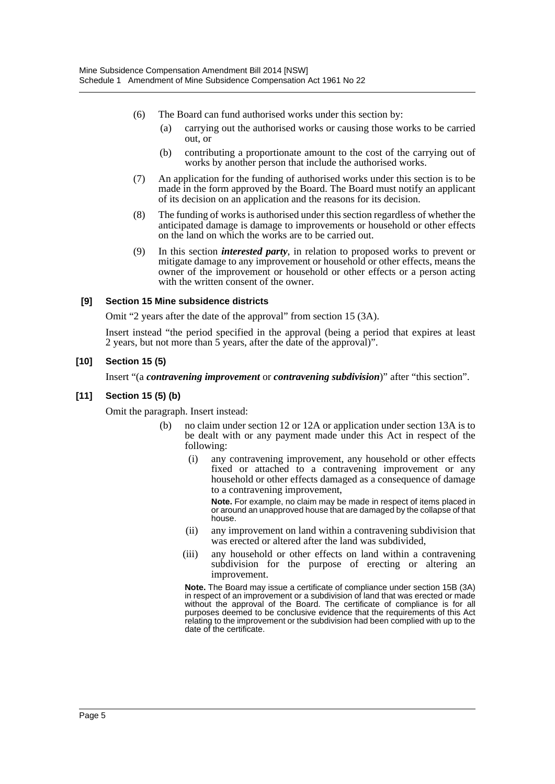- (6) The Board can fund authorised works under this section by:
	- (a) carrying out the authorised works or causing those works to be carried out, or
	- (b) contributing a proportionate amount to the cost of the carrying out of works by another person that include the authorised works.
- (7) An application for the funding of authorised works under this section is to be made in the form approved by the Board. The Board must notify an applicant of its decision on an application and the reasons for its decision.
- (8) The funding of works is authorised under this section regardless of whether the anticipated damage is damage to improvements or household or other effects on the land on which the works are to be carried out.
- (9) In this section *interested party*, in relation to proposed works to prevent or mitigate damage to any improvement or household or other effects, means the owner of the improvement or household or other effects or a person acting with the written consent of the owner.

#### **[9] Section 15 Mine subsidence districts**

Omit "2 years after the date of the approval" from section 15 (3A).

Insert instead "the period specified in the approval (being a period that expires at least 2 years, but not more than  $5$  years, after the date of the approval)".

#### **[10] Section 15 (5)**

Insert "(a *contravening improvement* or *contravening subdivision*)" after "this section".

#### **[11] Section 15 (5) (b)**

Omit the paragraph. Insert instead:

- no claim under section 12 or 12A or application under section 13A is to be dealt with or any payment made under this Act in respect of the following:
	- (i) any contravening improvement, any household or other effects fixed or attached to a contravening improvement or any household or other effects damaged as a consequence of damage to a contravening improvement,

**Note.** For example, no claim may be made in respect of items placed in or around an unapproved house that are damaged by the collapse of that house.

- (ii) any improvement on land within a contravening subdivision that was erected or altered after the land was subdivided,
- (iii) any household or other effects on land within a contravening subdivision for the purpose of erecting or altering an improvement.

**Note.** The Board may issue a certificate of compliance under section 15B (3A) in respect of an improvement or a subdivision of land that was erected or made without the approval of the Board. The certificate of compliance is for all purposes deemed to be conclusive evidence that the requirements of this Act relating to the improvement or the subdivision had been complied with up to the date of the certificate.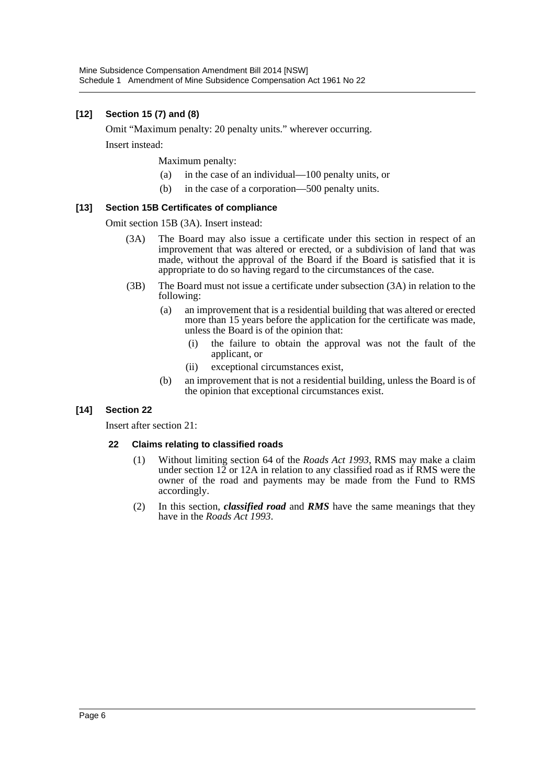# **[12] Section 15 (7) and (8)**

Omit "Maximum penalty: 20 penalty units." wherever occurring.

Insert instead:

Maximum penalty:

- (a) in the case of an individual—100 penalty units, or
- (b) in the case of a corporation—500 penalty units.

## **[13] Section 15B Certificates of compliance**

Omit section 15B (3A). Insert instead:

- (3A) The Board may also issue a certificate under this section in respect of an improvement that was altered or erected, or a subdivision of land that was made, without the approval of the Board if the Board is satisfied that it is appropriate to do so having regard to the circumstances of the case.
- (3B) The Board must not issue a certificate under subsection (3A) in relation to the following:
	- (a) an improvement that is a residential building that was altered or erected more than 15 years before the application for the certificate was made, unless the Board is of the opinion that:
		- (i) the failure to obtain the approval was not the fault of the applicant, or
		- (ii) exceptional circumstances exist,
	- (b) an improvement that is not a residential building, unless the Board is of the opinion that exceptional circumstances exist.

# **[14] Section 22**

Insert after section 21:

#### **22 Claims relating to classified roads**

- (1) Without limiting section 64 of the *Roads Act 1993*, RMS may make a claim under section 12 or 12A in relation to any classified road as if RMS were the owner of the road and payments may be made from the Fund to RMS accordingly.
- (2) In this section, *classified road* and *RMS* have the same meanings that they have in the *Roads Act 1993*.